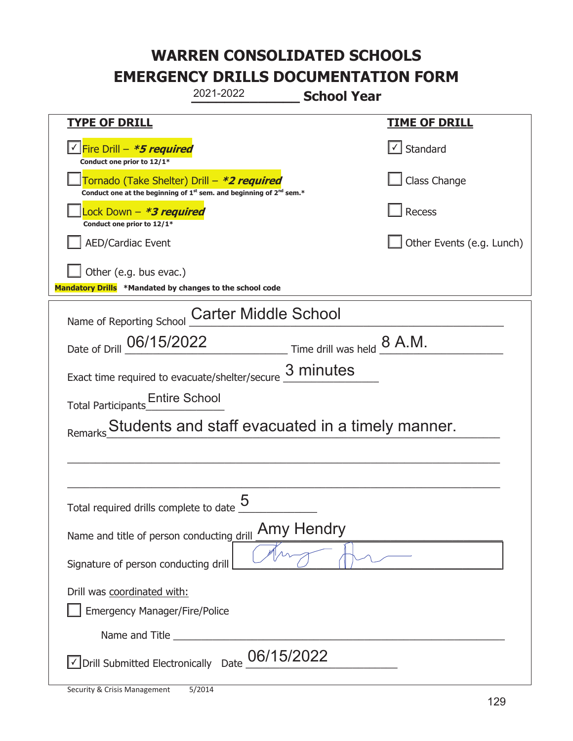| 2021-2022<br><b>School Year</b>                                                                                                           |                           |  |
|-------------------------------------------------------------------------------------------------------------------------------------------|---------------------------|--|
| <b>TYPE OF DRILL</b>                                                                                                                      | <b>TIME OF DRILL</b>      |  |
| <u> √ Fire Drill – <b>*5 required</b></u><br>Conduct one prior to 12/1*                                                                   | √ Standard                |  |
| Tornado (Take Shelter) Drill – *2 required<br>Conduct one at the beginning of 1 <sup>st</sup> sem. and beginning of 2 <sup>nd</sup> sem.* | Class Change              |  |
| Lock Down – <b>*<i>3 required</i></b><br>Conduct one prior to 12/1*                                                                       | Recess                    |  |
| <b>AED/Cardiac Event</b>                                                                                                                  | Other Events (e.g. Lunch) |  |
| Other (e.g. bus evac.)<br>Mandatory Drills *Mandated by changes to the school code                                                        |                           |  |
| <b>Carter Middle School</b><br>Name of Reporting School                                                                                   |                           |  |
| Date of Drill 06/15/2022<br>Time drill was held $\underline{8}$ A.M.                                                                      |                           |  |
| Exact time required to evacuate/shelter/secure 3 minutes                                                                                  |                           |  |
| <b>Entire School</b><br><b>Total Participants</b>                                                                                         |                           |  |
| Students and staff evacuated in a timely manner.<br>Remarks                                                                               |                           |  |
|                                                                                                                                           |                           |  |
|                                                                                                                                           |                           |  |
| ς<br>Total required drills complete to date                                                                                               |                           |  |
| <b>Amy Hendry</b><br>Name and title of person conducting drill                                                                            |                           |  |
| Signature of person conducting drill                                                                                                      |                           |  |
| Drill was coordinated with:                                                                                                               |                           |  |
| <b>Emergency Manager/Fire/Police</b>                                                                                                      |                           |  |
|                                                                                                                                           |                           |  |
| 06/15/2022<br>√ Drill Submitted Electronically Date                                                                                       |                           |  |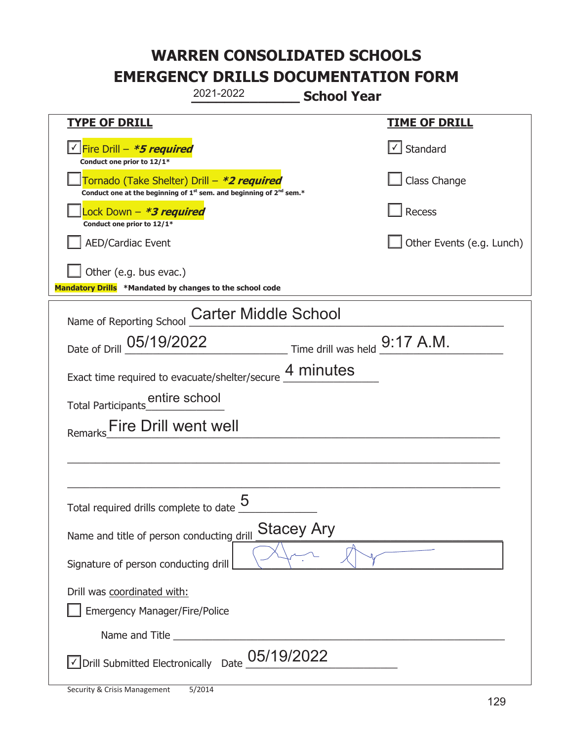| 2021-2022<br><b>School Year</b>                                                                                                           |                           |  |
|-------------------------------------------------------------------------------------------------------------------------------------------|---------------------------|--|
| <b>TYPE OF DRILL</b>                                                                                                                      | <u>TIME OF DRILL</u>      |  |
| <u> √ Fire Drill – <i>*5 required</i></u><br>Conduct one prior to 12/1*                                                                   | $\cup$ Standard           |  |
| Tornado (Take Shelter) Drill - *2 required<br>Conduct one at the beginning of 1 <sup>st</sup> sem. and beginning of 2 <sup>nd</sup> sem.* | Class Change              |  |
| Lock Down - *3 required<br>Conduct one prior to 12/1*                                                                                     | Recess                    |  |
| <b>AED/Cardiac Event</b>                                                                                                                  | Other Events (e.g. Lunch) |  |
| Other (e.g. bus evac.)<br>Mandatory Drills *Mandated by changes to the school code                                                        |                           |  |
| Name of Reporting School Carter Middle School                                                                                             |                           |  |
| $\frac{9:17}{\text{Time drill was held}}$ A.M.<br>Date of Drill 05/19/2022                                                                |                           |  |
| Exact time required to evacuate/shelter/secure 4 minutes                                                                                  |                           |  |
|                                                                                                                                           |                           |  |
| Fire Drill went well<br>Remarks                                                                                                           |                           |  |
|                                                                                                                                           |                           |  |
|                                                                                                                                           |                           |  |
| Total required drills complete to date $\underline{\mathbf{5}}$                                                                           |                           |  |
| <b>Stacey Ary</b><br>Name and title of person conducting drill                                                                            |                           |  |
| Signature of person conducting drill                                                                                                      |                           |  |
| Drill was coordinated with:                                                                                                               |                           |  |
| <b>Emergency Manager/Fire/Police</b>                                                                                                      |                           |  |
|                                                                                                                                           |                           |  |
| $\vee$ Drill Submitted Electronically Date $\underline{\text{05}}$ /19/2022                                                               |                           |  |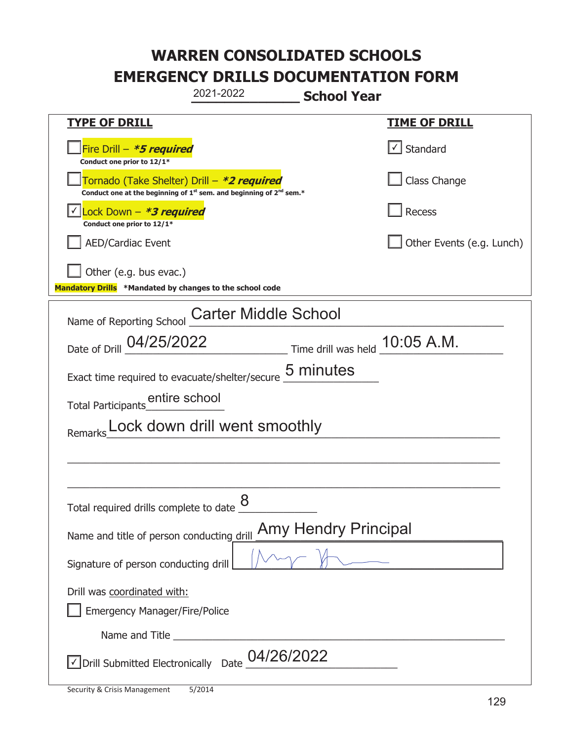| 2021-2022<br><b>School Year</b>                                                                                                           |                               |  |
|-------------------------------------------------------------------------------------------------------------------------------------------|-------------------------------|--|
| <b>TYPE OF DRILL</b>                                                                                                                      | <u>TIME OF DRILL</u>          |  |
| Fire Drill - *5 required<br>Conduct one prior to 12/1*                                                                                    | $\sqrt{\phantom{a}}$ Standard |  |
| Tornado (Take Shelter) Drill – *2 required<br>Conduct one at the beginning of 1 <sup>st</sup> sem. and beginning of 2 <sup>nd</sup> sem.* | Class Change                  |  |
| Lock Down - *3 required<br>Conduct one prior to 12/1*                                                                                     | Recess                        |  |
| <b>AED/Cardiac Event</b>                                                                                                                  | Other Events (e.g. Lunch)     |  |
| Other (e.g. bus evac.)<br>Mandatory Drills *Mandated by changes to the school code                                                        |                               |  |
| Name of Reporting School Carter Middle School                                                                                             |                               |  |
| Date of Drill 04/25/2022<br>$\frac{10:05 \text{ A.M.}}{10:05 \text{ A.M.}}$                                                               |                               |  |
| Exact time required to evacuate/shelter/secure 5 minutes                                                                                  |                               |  |
|                                                                                                                                           |                               |  |
| Lock down drill went smoothly                                                                                                             |                               |  |
|                                                                                                                                           |                               |  |
| 8                                                                                                                                         |                               |  |
| Total required drills complete to date                                                                                                    |                               |  |
| <b>Amy Hendry Principal</b><br>Name and title of person conducting drill                                                                  |                               |  |
| Signature of person conducting drill                                                                                                      |                               |  |
| Drill was coordinated with:<br><b>Emergency Manager/Fire/Police</b>                                                                       |                               |  |
|                                                                                                                                           |                               |  |
| 04/26/2022<br>√ Drill Submitted Electronically Date                                                                                       |                               |  |

T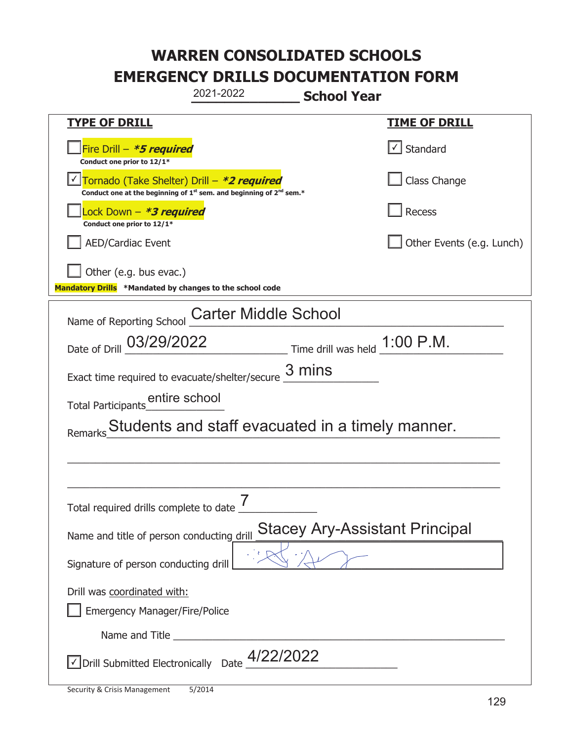| 2021-2022<br><b>School Year</b>                                                                                                           |                                                  |  |
|-------------------------------------------------------------------------------------------------------------------------------------------|--------------------------------------------------|--|
| <b>TYPE OF DRILL</b>                                                                                                                      | <u>TIME OF DRILL</u>                             |  |
| Fire Drill - *5 required<br>Conduct one prior to 12/1*                                                                                    | Standard                                         |  |
| Tornado (Take Shelter) Drill - *2 required<br>Conduct one at the beginning of 1 <sup>st</sup> sem. and beginning of 2 <sup>nd</sup> sem.* | Class Change                                     |  |
| Lock Down – <b>*3 required</b><br>Conduct one prior to 12/1*                                                                              | Recess                                           |  |
| <b>AED/Cardiac Event</b>                                                                                                                  | Other Events (e.g. Lunch)                        |  |
| Other (e.g. bus evac.)<br>Mandatory Drills *Mandated by changes to the school code                                                        |                                                  |  |
| Name of Reporting School                                                                                                                  | <b>Carter Middle School</b>                      |  |
| Date of Drill 03/29/2022                                                                                                                  | Time drill was held $1:00$ P.M.                  |  |
| Exact time required to evacuate/shelter/secure $\frac{3 \text{ mins}}{4}$                                                                 |                                                  |  |
|                                                                                                                                           |                                                  |  |
| Remarks                                                                                                                                   | Students and staff evacuated in a timely manner. |  |
|                                                                                                                                           |                                                  |  |
|                                                                                                                                           |                                                  |  |
| 7<br>Total required drills complete to date                                                                                               |                                                  |  |
| <b>Stacey Ary-Assistant Principal</b><br>Name and title of person conducting drill                                                        |                                                  |  |
| Signature of person conducting drill                                                                                                      |                                                  |  |
| Drill was coordinated with:                                                                                                               |                                                  |  |
| <b>Emergency Manager/Fire/Police</b>                                                                                                      |                                                  |  |
|                                                                                                                                           |                                                  |  |
| √ Drill Submitted Electronically Date                                                                                                     | 4/22/2022                                        |  |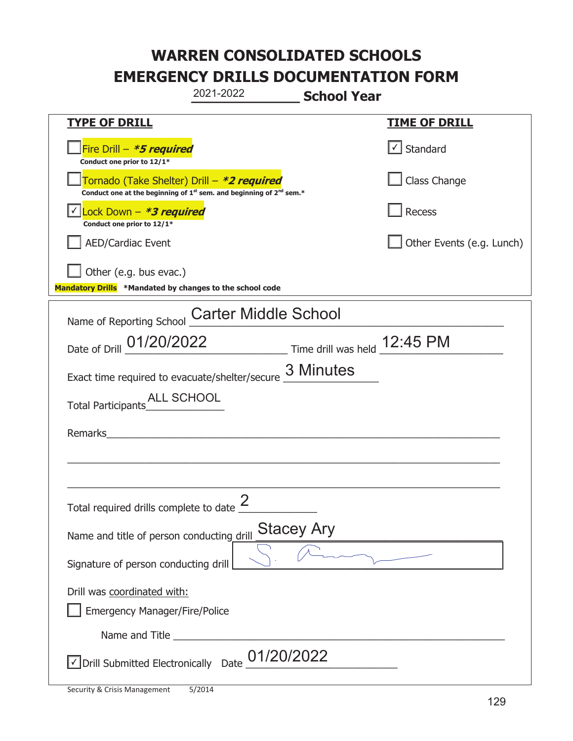|                                                                                                                                           | 2021-2022                   | <b>School Year</b> |                           |
|-------------------------------------------------------------------------------------------------------------------------------------------|-----------------------------|--------------------|---------------------------|
| <b>TYPE OF DRILL</b>                                                                                                                      |                             |                    | <u>TIME OF DRILL</u>      |
| Fire Drill - *5 required<br>Conduct one prior to 12/1*                                                                                    |                             |                    | $\cup$ Standard           |
| Tornado (Take Shelter) Drill – *2 required<br>Conduct one at the beginning of 1 <sup>st</sup> sem. and beginning of 2 <sup>nd</sup> sem.* |                             |                    | Class Change              |
| Lock Down - *3 required<br>Conduct one prior to 12/1*                                                                                     |                             |                    | Recess                    |
| AED/Cardiac Event                                                                                                                         |                             |                    | Other Events (e.g. Lunch) |
| $\vert$ Other (e.g. bus evac.)<br>Mandatory Drills *Mandated by changes to the school code                                                |                             |                    |                           |
| Name of Reporting School                                                                                                                  | <b>Carter Middle School</b> |                    |                           |
| Date of Drill 01/20/2022 Time drill was held 12:45 PM                                                                                     |                             |                    |                           |
| Exact time required to evacuate/shelter/secure 3 Minutes                                                                                  |                             |                    |                           |
|                                                                                                                                           |                             |                    |                           |
| Remarks                                                                                                                                   |                             |                    |                           |
|                                                                                                                                           |                             |                    |                           |
| Total required drills complete to date $\frac{2}{3}$                                                                                      |                             |                    |                           |
| Name and title of person conducting drill                                                                                                 |                             | <b>Stacey Ary</b>  |                           |
| Signature of person conducting drill                                                                                                      |                             |                    |                           |
| Drill was coordinated with:<br><b>Emergency Manager/Fire/Police</b>                                                                       |                             |                    |                           |
|                                                                                                                                           |                             |                    |                           |
| √ Drill Submitted Electronically Date                                                                                                     | 01/20/2022                  |                    |                           |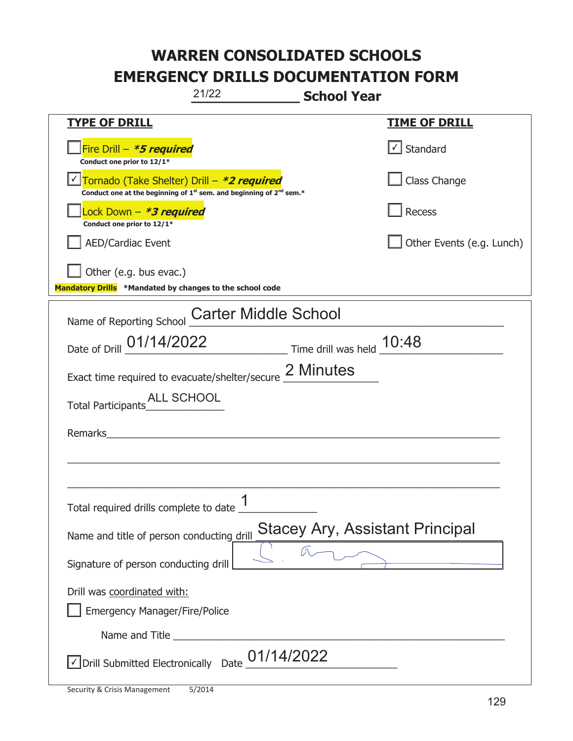|                                                                                    | 21/22<br><b>School Year</b>                                                                 |                           |
|------------------------------------------------------------------------------------|---------------------------------------------------------------------------------------------|---------------------------|
| <b>TYPE OF DRILL</b>                                                               |                                                                                             | <u>TIME OF DRILL</u>      |
| Fire Drill - *5 required<br>Conduct one prior to 12/1*                             |                                                                                             | $\cup$ Standard           |
| <u> √ Tornado (Take Shelter) Drill – *2 required</u>                               | Conduct one at the beginning of 1 <sup>st</sup> sem. and beginning of 2 <sup>nd</sup> sem.* | Class Change              |
| Lock Down - *3 required<br>Conduct one prior to 12/1*                              |                                                                                             | Recess                    |
| <b>AED/Cardiac Event</b>                                                           |                                                                                             | Other Events (e.g. Lunch) |
| Other (e.g. bus evac.)<br>Mandatory Drills *Mandated by changes to the school code |                                                                                             |                           |
| Name of Reporting School                                                           | <b>Carter Middle School</b>                                                                 |                           |
|                                                                                    | Date of Drill 01/14/2022 Time drill was held 10:48                                          |                           |
|                                                                                    | Exact time required to evacuate/shelter/secure 2 Minutes                                    |                           |
|                                                                                    |                                                                                             |                           |
| Remarks                                                                            |                                                                                             |                           |
|                                                                                    |                                                                                             |                           |
|                                                                                    |                                                                                             |                           |
| Total required drills complete to date $\frac{1}{1}$                               |                                                                                             |                           |
| Name and title of person conducting drill                                          | <b>Stacey Ary, Assistant Principal</b>                                                      |                           |
| Signature of person conducting drill                                               |                                                                                             |                           |
| Drill was coordinated with:                                                        |                                                                                             |                           |
| <b>Emergency Manager/Fire/Police</b>                                               |                                                                                             |                           |
|                                                                                    |                                                                                             |                           |
| √ Drill Submitted Electronically Date                                              | 01/14/2022                                                                                  |                           |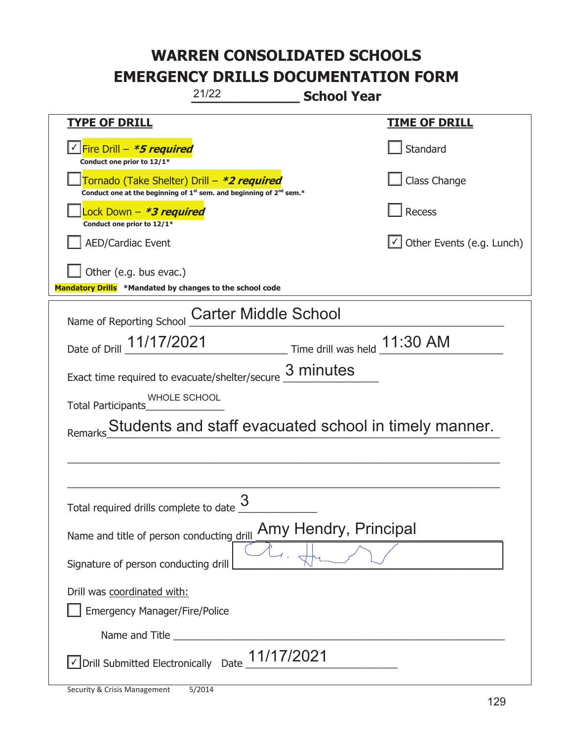| 21/22<br><b>School Year</b>                                                                                                 |                                                       |  |
|-----------------------------------------------------------------------------------------------------------------------------|-------------------------------------------------------|--|
| <b>TYPE OF DRILL</b>                                                                                                        | <u>TIME OF DRILL</u>                                  |  |
| <u>√ Fire Drill – *5 required</u><br>Conduct one prior to 12/1*                                                             | Standard                                              |  |
| Tornado (Take Shelter) Drill – *2 required<br>Conduct one at the beginning of $1^{st}$ sem. and beginning of $2^{nd}$ sem.* | Class Change                                          |  |
| Lock Down – <b>*<i>3 required</i></b><br>Conduct one prior to 12/1*                                                         | Recess                                                |  |
| <b>AED/Cardiac Event</b>                                                                                                    | $\cup$ Other Events (e.g. Lunch)                      |  |
| Other (e.g. bus evac.)<br>Mandatory Drills *Mandated by changes to the school code                                          |                                                       |  |
| <b>Carter Middle School</b><br>Name of Reporting School                                                                     |                                                       |  |
| Date of Drill 11/17/2021                                                                                                    |                                                       |  |
| Exact time required to evacuate/shelter/secure 3 minutes                                                                    |                                                       |  |
| WHOLE SCHOOL<br><b>Total Participants</b>                                                                                   |                                                       |  |
| Remarks                                                                                                                     | Students and staff evacuated school in timely manner. |  |
|                                                                                                                             |                                                       |  |
|                                                                                                                             |                                                       |  |
| 3<br>Total required drills complete to date                                                                                 |                                                       |  |
| Name and title of person conducting drill                                                                                   | Amy Hendry, Principal                                 |  |
| Signature of person conducting drill                                                                                        |                                                       |  |
| Drill was coordinated with:                                                                                                 |                                                       |  |
| <b>Emergency Manager/Fire/Police</b>                                                                                        |                                                       |  |
|                                                                                                                             |                                                       |  |
| $\sqrt{2}$ Drill Submitted Electronically Date $\frac{11/17}{2021}$                                                         |                                                       |  |

T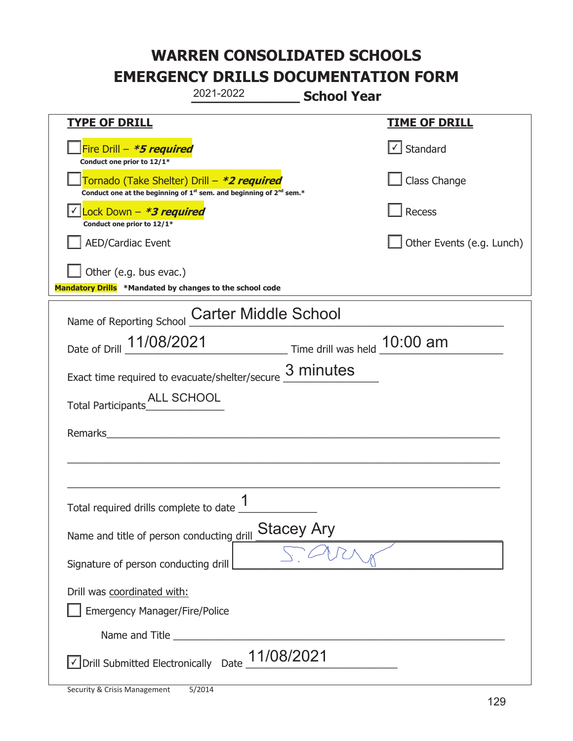|                                                                                                                                           | 2021-2022                                                                                                             | <b>School Year</b> |                           |
|-------------------------------------------------------------------------------------------------------------------------------------------|-----------------------------------------------------------------------------------------------------------------------|--------------------|---------------------------|
| <b>TYPE OF DRILL</b>                                                                                                                      |                                                                                                                       |                    | <u>TIME OF DRILL</u>      |
| Fire Drill - *5 required<br>Conduct one prior to 12/1*                                                                                    |                                                                                                                       |                    | Standard                  |
| Tornado (Take Shelter) Drill – *2 required<br>Conduct one at the beginning of 1 <sup>st</sup> sem. and beginning of 2 <sup>nd</sup> sem.* |                                                                                                                       |                    | Class Change              |
| Lock Down - *3 required<br>Conduct one prior to 12/1*                                                                                     |                                                                                                                       |                    | Recess                    |
| AED/Cardiac Event                                                                                                                         |                                                                                                                       |                    | Other Events (e.g. Lunch) |
| Other (e.g. bus evac.)<br>Mandatory Drills *Mandated by changes to the school code                                                        |                                                                                                                       |                    |                           |
|                                                                                                                                           |                                                                                                                       |                    |                           |
| Name of Reporting School                                                                                                                  | <b>Carter Middle School</b>                                                                                           |                    |                           |
| Date of Drill 11/08/2021 Time drill was held 10:00 am                                                                                     |                                                                                                                       |                    |                           |
| Exact time required to evacuate/shelter/secure $\underline{3}$ minutes                                                                    |                                                                                                                       |                    |                           |
|                                                                                                                                           |                                                                                                                       |                    |                           |
| Remarks                                                                                                                                   | <u>and the state of the state of the state of the state of the state of the state of the state of the state of th</u> |                    |                           |
|                                                                                                                                           |                                                                                                                       |                    |                           |
|                                                                                                                                           |                                                                                                                       |                    |                           |
| Total required drills complete to date $\frac{1}{1}$                                                                                      |                                                                                                                       |                    |                           |
| Name and title of person conducting drill                                                                                                 |                                                                                                                       | <b>Stacey Ary</b>  |                           |
| Signature of person conducting drill                                                                                                      |                                                                                                                       |                    |                           |
| Drill was coordinated with:                                                                                                               |                                                                                                                       |                    |                           |
| <b>Emergency Manager/Fire/Police</b>                                                                                                      |                                                                                                                       |                    |                           |
| Name and Title                                                                                                                            |                                                                                                                       |                    |                           |
| √ Drill Submitted Electronically Date                                                                                                     |                                                                                                                       | 11/08/2021         |                           |